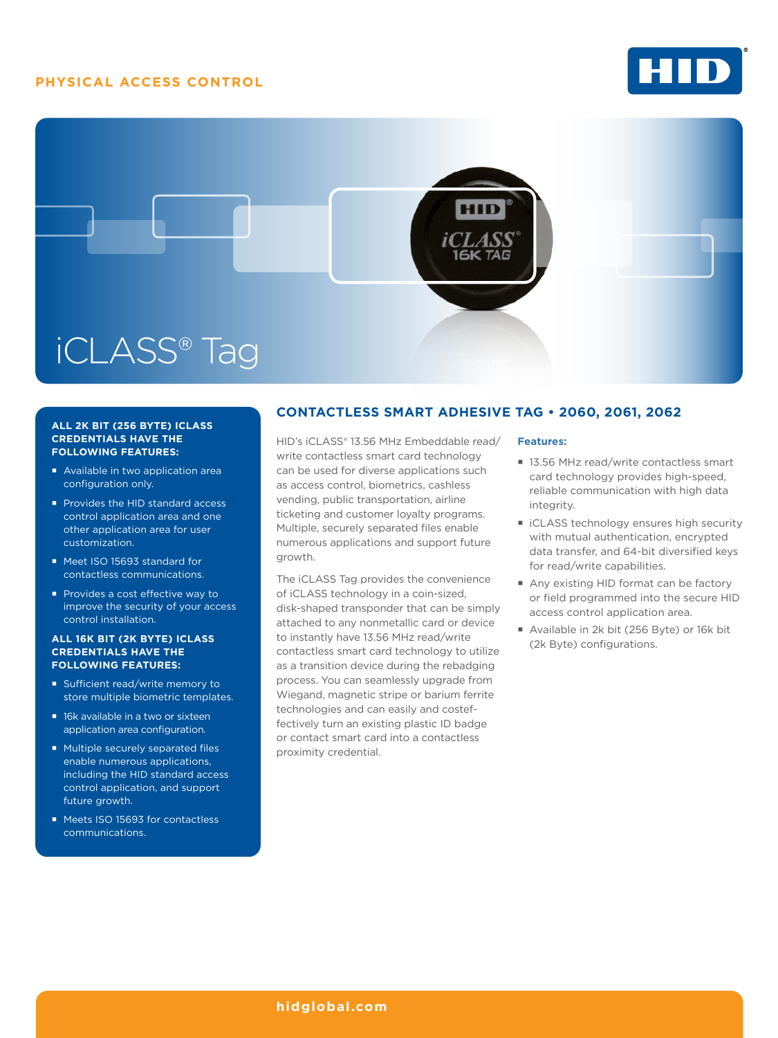# **PHYSICAL ACCESS CONTROL**





### **ALL 2K BIT (256 BYTE) ICLASS CREDENTIALS HAVE THE FOLLOWING FEATURES:**

- Available in two application area configuration only.
- Provides the HID standard access control application area and one other application area for user customization.
- Meet ISO 15693 standard for contactless communications.
- Provides a cost effective way to improve the security of your access control installation.

### **ALL 16K BIT (2K BYTE) ICLASS CREDENTIALS HAVE THE FOLLOWING FEATURES:**

- Sufficient read/write memory to store multiple biometric templates.
- 16k available in a two or sixteen application area configuration.
- Multiple securely separated files enable numerous applications, including the HID standard access control application, and support future growth.
- Meets ISO 15693 for contactless communications.

# **CONTACTLESS SMART ADHESIVE TAG • 2060, 2061, 2062**

HID's iCLASS® 13.56 MHz Embeddable read/ write contactless smart card technology can be used for diverse applications such as access control, biometrics, cashless vending, public transportation, airline ticketing and customer loyalty programs. Multiple, securely separated files enable numerous applications and support future growth.

The iCLASS Tag provides the convenience of iCLASS technology in a coin-sized, disk-shaped transponder that can be simply attached to any nonmetallic card or device to instantly have 13.56 MHz read/write contactless smart card technology to utilize as a transition device during the rebadging process. You can seamlessly upgrade from Wiegand, magnetic stripe or barium ferrite technologies and can easily and costeffectively turn an existing plastic ID badge or contact smart card into a contactless proximity credential.

## **Features:**

- 13.56 MHz read/write contactless smart card technology provides high-speed, reliable communication with high data integrity.
- iCLASS technology ensures high security with mutual authentication, encrypted data transfer, and 64-bit diversified keys for read/write capabilities.
- Any existing HID format can be factory or field programmed into the secure HID access control application area.
- Available in 2k bit (256 Byte) or 16k bit (2k Byte) configurations.